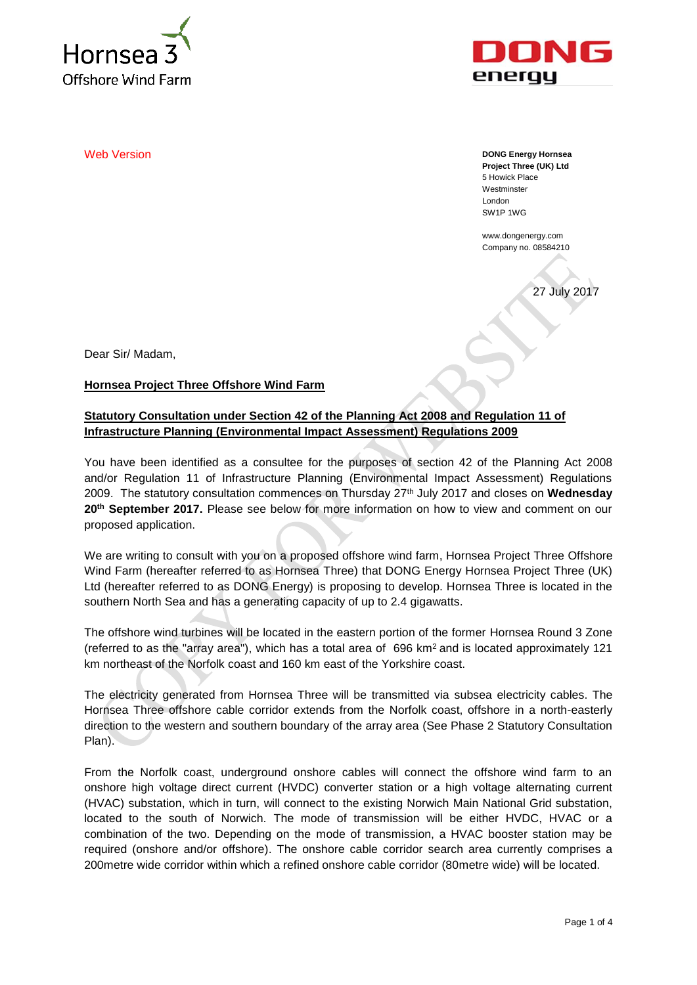



**Web Version DONG Energy Hornsea DONG Energy Hornsea Project Three (UK) Ltd** 5 Howick Place **Westminster** London SW1P 1WG

> www.dongenergy.com Company no. 08584210

27 July 2017

Dear Sir/ Madam,

**Hornsea Project Three Offshore Wind Farm**

# **Statutory Consultation under Section 42 of the Planning Act 2008 and Regulation 11 of Infrastructure Planning (Environmental Impact Assessment) Regulations 2009**

You have been identified as a consultee for the purposes of section 42 of the Planning Act 2008 and/or Regulation 11 of Infrastructure Planning (Environmental Impact Assessment) Regulations 2009. The statutory consultation commences on Thursday 27th July 2017 and closes on **Wednesday 20th September 2017.** Please see below for more information on how to view and comment on our proposed application.

We are writing to consult with you on a proposed offshore wind farm, Hornsea Project Three Offshore Wind Farm (hereafter referred to as Hornsea Three) that DONG Energy Hornsea Project Three (UK) Ltd (hereafter referred to as DONG Energy) is proposing to develop. Hornsea Three is located in the southern North Sea and has a generating capacity of up to 2.4 gigawatts.

The offshore wind turbines will be located in the eastern portion of the former Hornsea Round 3 Zone (referred to as the "array area"), which has a total area of  $696 \text{ km}^2$  and is located approximately 121 km northeast of the Norfolk coast and 160 km east of the Yorkshire coast.

The electricity generated from Hornsea Three will be transmitted via subsea electricity cables. The Hornsea Three offshore cable corridor extends from the Norfolk coast, offshore in a north-easterly direction to the western and southern boundary of the array area (See Phase 2 Statutory Consultation Plan).

From the Norfolk coast, underground onshore cables will connect the offshore wind farm to an onshore high voltage direct current (HVDC) converter station or a high voltage alternating current (HVAC) substation, which in turn, will connect to the existing Norwich Main National Grid substation, located to the south of Norwich. The mode of transmission will be either HVDC, HVAC or a combination of the two. Depending on the mode of transmission, a HVAC booster station may be required (onshore and/or offshore). The onshore cable corridor search area currently comprises a 200metre wide corridor within which a refined onshore cable corridor (80metre wide) will be located.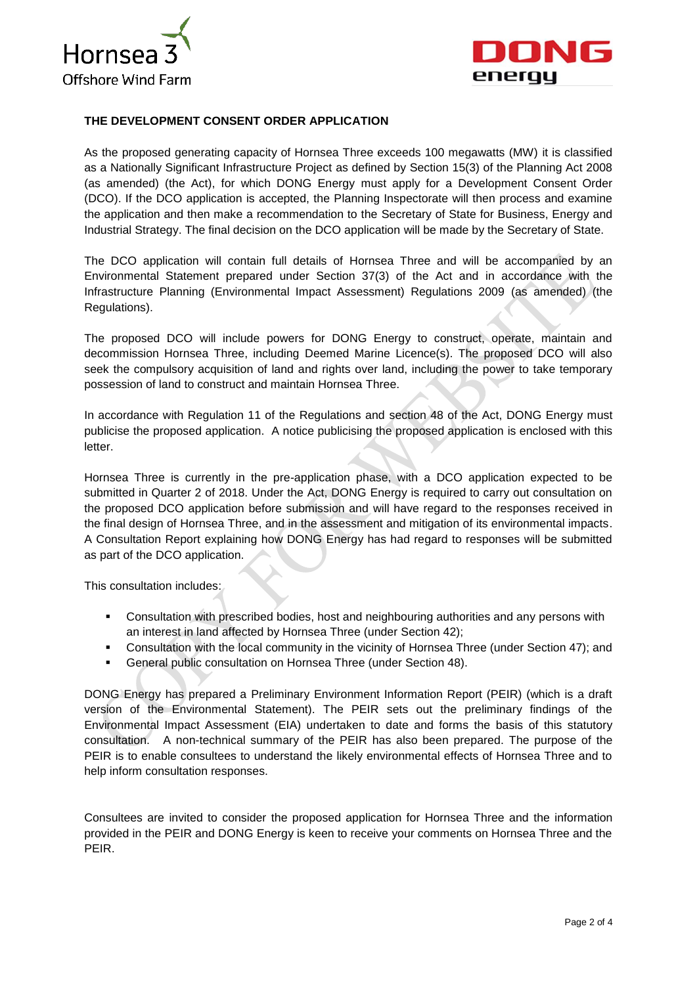



## **THE DEVELOPMENT CONSENT ORDER APPLICATION**

As the proposed generating capacity of Hornsea Three exceeds 100 megawatts (MW) it is classified as a Nationally Significant Infrastructure Project as defined by Section 15(3) of the Planning Act 2008 (as amended) (the Act), for which DONG Energy must apply for a Development Consent Order (DCO). If the DCO application is accepted, the Planning Inspectorate will then process and examine the application and then make a recommendation to the Secretary of State for Business, Energy and Industrial Strategy. The final decision on the DCO application will be made by the Secretary of State.

The DCO application will contain full details of Hornsea Three and will be accompanied by an Environmental Statement prepared under Section 37(3) of the Act and in accordance with the Infrastructure Planning (Environmental Impact Assessment) Regulations 2009 (as amended) (the Regulations).

The proposed DCO will include powers for DONG Energy to construct, operate, maintain and decommission Hornsea Three, including Deemed Marine Licence(s). The proposed DCO will also seek the compulsory acquisition of land and rights over land, including the power to take temporary possession of land to construct and maintain Hornsea Three.

In accordance with Regulation 11 of the Regulations and section 48 of the Act, DONG Energy must publicise the proposed application. A notice publicising the proposed application is enclosed with this letter.

Hornsea Three is currently in the pre-application phase, with a DCO application expected to be submitted in Quarter 2 of 2018. Under the Act, DONG Energy is required to carry out consultation on the proposed DCO application before submission and will have regard to the responses received in the final design of Hornsea Three, and in the assessment and mitigation of its environmental impacts. A Consultation Report explaining how DONG Energy has had regard to responses will be submitted as part of the DCO application.

This consultation includes:

- Consultation with prescribed bodies, host and neighbouring authorities and any persons with an interest in land affected by Hornsea Three (under Section 42);
- Consultation with the local community in the vicinity of Hornsea Three (under Section 47); and
- General public consultation on Hornsea Three (under Section 48).

DONG Energy has prepared a Preliminary Environment Information Report (PEIR) (which is a draft version of the Environmental Statement). The PEIR sets out the preliminary findings of the Environmental Impact Assessment (EIA) undertaken to date and forms the basis of this statutory consultation. A non-technical summary of the PEIR has also been prepared. The purpose of the PEIR is to enable consultees to understand the likely environmental effects of Hornsea Three and to help inform consultation responses.

Consultees are invited to consider the proposed application for Hornsea Three and the information provided in the PEIR and DONG Energy is keen to receive your comments on Hornsea Three and the PEIR.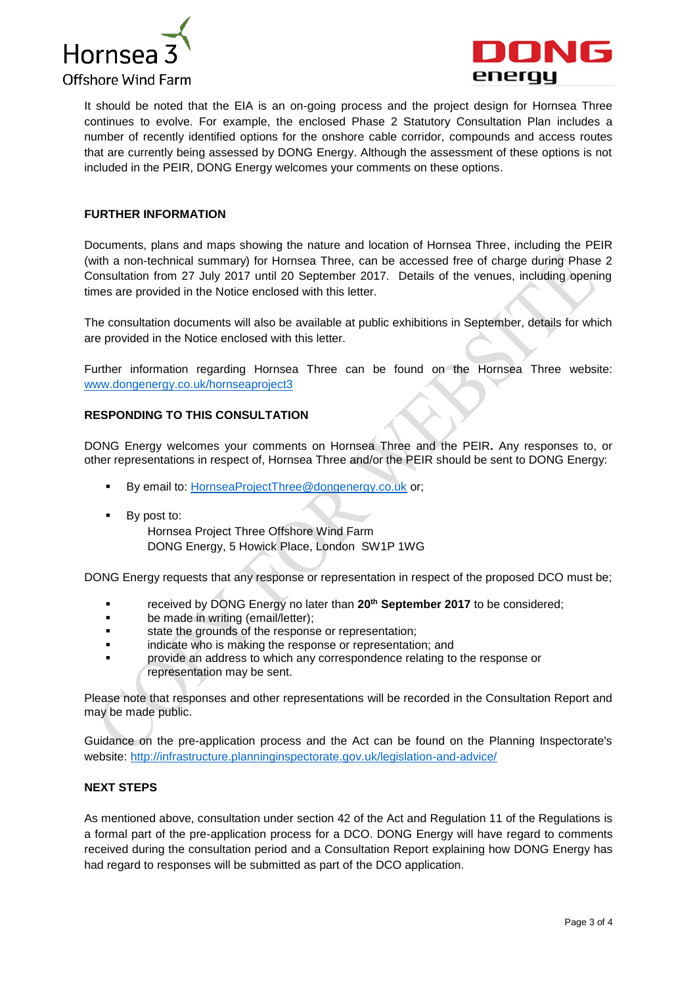



It should be noted that the EIA is an on-going process and the project design for Hornsea Three continues to evolve. For example, the enclosed Phase 2 Statutory Consultation Plan includes a number of recently identified options for the onshore cable corridor, compounds and access routes that are currently being assessed by DONG Energy. Although the assessment of these options is not included in the PEIR, DONG Energy welcomes your comments on these options.

### **FURTHER INFORMATION**

Documents, plans and maps showing the nature and location of Hornsea Three, including the PEIR (with a non-technical summary) for Hornsea Three, can be accessed free of charge during Phase 2 Consultation from 27 July 2017 until 20 September 2017. Details of the venues, including opening times are provided in the Notice enclosed with this letter.

The consultation documents will also be available at public exhibitions in September, details for which are provided in the Notice enclosed with this letter.

Further information regarding Hornsea Three can be found on the Hornsea Three website: [www.dongenergy.co.uk/hornseaproject3](http://www.dongenergy.co.uk/hornseaproject3)

### **RESPONDING TO THIS CONSULTATION**

DONG Energy welcomes your comments on Hornsea Three and the PEIR**.** Any responses to, or other representations in respect of, Hornsea Three and/or the PEIR should be sent to DONG Energy:

- By email to: [HornseaProjectThree@dongenergy.co.uk](mailto:HornseaProjectThree@dongenergy.co.uk) or;
- By post to: Hornsea Project Three Offshore Wind Farm DONG Energy, 5 Howick Place, London SW1P 1WG

DONG Energy requests that any response or representation in respect of the proposed DCO must be;

- received by DONG Energy no later than **20th September 2017** to be considered;
- **•** be made in writing (email/letter);
- state the grounds of the response or representation;
- **Example 2** indicate who is making the response or representation; and
- provide an address to which any correspondence relating to the response or representation may be sent.

Please note that responses and other representations will be recorded in the Consultation Report and may be made public.

Guidance on the pre-application process and the Act can be found on the Planning Inspectorate's website: <http://infrastructure.planninginspectorate.gov.uk/legislation-and-advice/>

## **NEXT STEPS**

As mentioned above, consultation under section 42 of the Act and Regulation 11 of the Regulations is a formal part of the pre-application process for a DCO. DONG Energy will have regard to comments received during the consultation period and a Consultation Report explaining how DONG Energy has had regard to responses will be submitted as part of the DCO application.